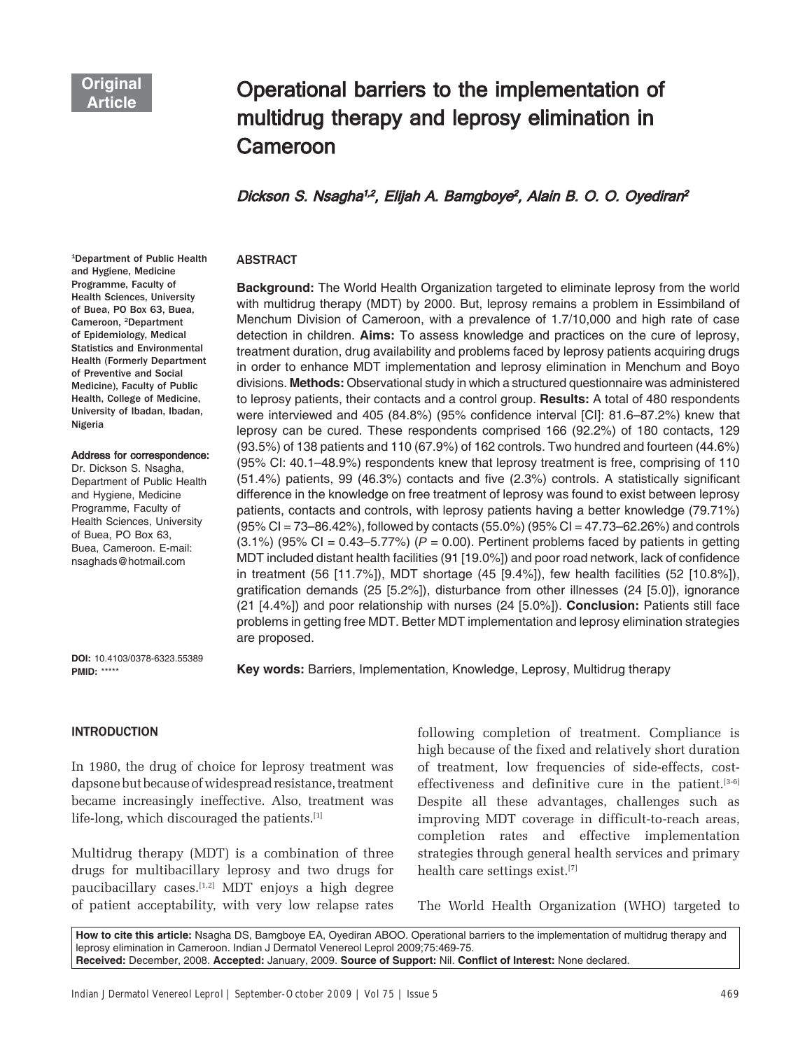1Department of Public Health and Hygiene, Medicine Programme, Faculty of Health Sciences, University of Buea, PO Box 63, Buea, Cameroon, 2Department of Epidemiology, Medical Statistics and Environmental Health (Formerly Department of Preventive and Social Medicine), Faculty of Public Health, College of Medicine, University of Ibadan, Ibadan,

Address for correspondence: Dr. Dickson S. Nsagha, Department of Public Health and Hygiene, Medicine Programme, Faculty of Health Sciences, University of Buea, PO Box 63, Buea, Cameroon. E-mail: nsaghads@hotmail.com

Nigeria

# **Ariginal Conducter Operational barriers to the implementation of Article** multidrug therapy and leprosy elimination in Cameroon

Dickson S. Nsagha<sup>1,2</sup>, Elijah A. Bamgboye<sup>2</sup>, Alain B. O. O. Oyediran<sup>2</sup>

#### ABSTRACT

**Background:** The World Health Organization targeted to eliminate leprosy from the world with multidrug therapy (MDT) by 2000. But, leprosy remains a problem in Essimbiland of Menchum Division of Cameroon, with a prevalence of 1.7/10,000 and high rate of case detection in children. **Aims:** To assess knowledge and practices on the cure of leprosy, treatment duration, drug availability and problems faced by leprosy patients acquiring drugs in order to enhance MDT implementation and leprosy elimination in Menchum and Boyo divisions. **Methods:** Observational study in which a structured questionnaire was administered to leprosy patients, their contacts and a control group. **Results:** A total of 480 respondents were interviewed and 405  $(84.8%)$   $(95%$  confidence interval  $[C!]$ : 81.6–87.2%) knew that leprosy can be cured. These respondents comprised 166 (92.2%) of 180 contacts, 129 (93.5%) of 138 patients and 110 (67.9%) of 162 controls. Two hundred and fourteen (44.6%)  $(95\% \text{ CI: } 40.1-48.9\%)$  respondents knew that leprosy treatment is free, comprising of 110  $(51.4%)$  patients, 99  $(46.3%)$  contacts and five  $(2.3%)$  controls. A statistically significant difference in the knowledge on free treatment of leprosy was found to exist between leprosy patients, contacts and controls, with leprosy patients having a better knowledge (79.71%) (95% CI = 73–86.42%), followed by contacts (55.0%) (95% CI = 47.73–62.26%) and controls  $(3.1\%)$  (95% CI = 0.43–5.77%) ( $P = 0.00$ ). Pertinent problems faced by patients in getting MDT included distant health facilities (91 [19.0%]) and poor road network, lack of confidence in treatment (56 [11.7%]), MDT shortage (45 [9.4%]), few health facilities (52 [10.8%]), gratification demands  $(25 [5.2\%])$ , disturbance from other illnesses  $(24 [5.0])$ , ignorance (21 [4.4%]) and poor relationship with nurses (24 [5.0%]). **Conclusion:** Patients still face problems in getting free MDT. Better MDT implementation and leprosy elimination strategies are proposed.

**DOI:** 10.4103/0378-6323.55389 **PMID:** \*\*\*\*\*

**Key words:** Barriers, Implementation, Knowledge, Leprosy, Multidrug therapy

### **INTRODUCTION**

In 1980, the drug of choice for leprosy treatment was dapsone but because of widespread resistance, treatment became increasingly ineffective. Also, treatment was life-long, which discouraged the patients.[1]

Multidrug therapy (MDT) is a combination of three drugs for multibacillary leprosy and two drugs for paucibacillary cases.[1,2] MDT enjoys a high degree of patient acceptability, with very low relapse rates

following completion of treatment. Compliance is high because of the fixed and relatively short duration of treatment, low frequencies of side-effects, costeffectiveness and definitive cure in the patient. $[3-6]$ Despite all these advantages, challenges such as improving MDT coverage in difficult-to-reach areas, completion rates and effective implementation strategies through general health services and primary health care settings exist.[7]

The World Health Organization (WHO) targeted to

**How to cite this article:** Nsagha DS, Bamgboye EA, Oyediran ABOO. Operational barriers to the implementation of multidrug therapy and leprosy elimination in Cameroon. Indian J Dermatol Venereol Leprol 2009;75:469-75. **Received:** December, 2008. **Accepted:** January, 2009. **Source of Support:** Nil. **Confl ict of Interest:** None declared.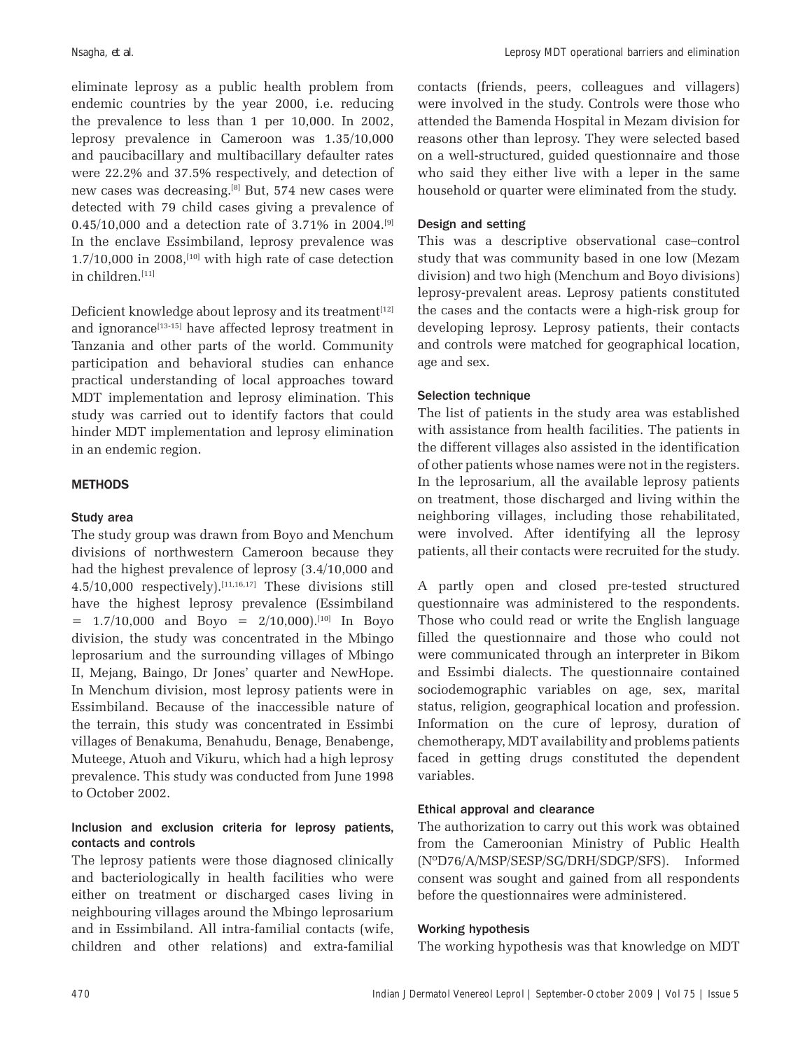eliminate leprosy as a public health problem from endemic countries by the year 2000, i.e. reducing the prevalence to less than 1 per 10,000. In 2002, leprosy prevalence in Cameroon was 1.35/10,000 and paucibacillary and multibacillary defaulter rates were 22.2% and 37.5% respectively, and detection of new cases was decreasing.[8] But, 574 new cases were detected with 79 child cases giving a prevalence of  $0.45/10.000$  and a detection rate of 3.71% in 2004.<sup>[9]</sup> In the enclave Essimbiland, leprosy prevalence was  $1.7/10,000$  in  $2008$ ,<sup>[10]</sup> with high rate of case detection in children.[11]

Deficient knowledge about leprosy and its treatment  $[12]$ and ignorance<sup>[13-15]</sup> have affected leprosy treatment in Tanzania and other parts of the world. Community participation and behavioral studies can enhance practical understanding of local approaches toward MDT implementation and leprosy elimination. This study was carried out to identify factors that could hinder MDT implementation and leprosy elimination in an endemic region.

# **METHODS**

# Study area

The study group was drawn from Boyo and Menchum divisions of northwestern Cameroon because they had the highest prevalence of leprosy (3.4/10,000 and  $4.5/10,000$  respectively).<sup>[11,16,17]</sup> These divisions still have the highest leprosy prevalence (Essimbiland  $= 1.7/10,000$  and Boyo  $= 2/10,000$ .<sup>[10]</sup> In Boyo division, the study was concentrated in the Mbingo leprosarium and the surrounding villages of Mbingo II, Mejang, Baingo, Dr Jones' quarter and NewHope. In Menchum division, most leprosy patients were in Essimbiland. Because of the inaccessible nature of the terrain, this study was concentrated in Essimbi villages of Benakuma, Benahudu, Benage, Benabenge, Muteege, Atuoh and Vikuru, which had a high leprosy prevalence. This study was conducted from June 1998 to October 2002.

# Inclusion and exclusion criteria for leprosy patients, contacts and controls

The leprosy patients were those diagnosed clinically and bacteriologically in health facilities who were either on treatment or discharged cases living in neighbouring villages around the Mbingo leprosarium and in Essimbiland. All intra-familial contacts (wife, children and other relations) and extra-familial contacts (friends, peers, colleagues and villagers) were involved in the study. Controls were those who attended the Bamenda Hospital in Mezam division for reasons other than leprosy. They were selected based on a well-structured, guided questionnaire and those who said they either live with a leper in the same household or quarter were eliminated from the study.

# Design and setting

This was a descriptive observational case-control study that was community based in one low (Mezam division) and two high (Menchum and Boyo divisions) leprosy-prevalent areas. Leprosy patients constituted the cases and the contacts were a high-risk group for developing leprosy. Leprosy patients, their contacts and controls were matched for geographical location, age and sex.

# Selection technique

The list of patients in the study area was established with assistance from health facilities. The patients in the different villages also assisted in the identification of other patients whose names were not in the registers. In the leprosarium, all the available leprosy patients on treatment, those discharged and living within the neighboring villages, including those rehabilitated, were involved. After identifying all the leprosy patients, all their contacts were recruited for the study.

A partly open and closed pre-tested structured questionnaire was administered to the respondents. Those who could read or write the English language filled the questionnaire and those who could not were communicated through an interpreter in Bikom and Essimbi dialects. The questionnaire contained sociodemographic variables on age, sex, marital status, religion, geographical location and profession. Information on the cure of leprosy, duration of chemotherapy, MDT availability and problems patients faced in getting drugs constituted the dependent variables.

# Ethical approval and clearance

The authorization to carry out this work was obtained from the Cameroonian Ministry of Public Health (NºD76/A/MSP/SESP/SG/DRH/SDGP/SFS). Informed consent was sought and gained from all respondents before the questionnaires were administered.

# Working hypothesis

The working hypothesis was that knowledge on MDT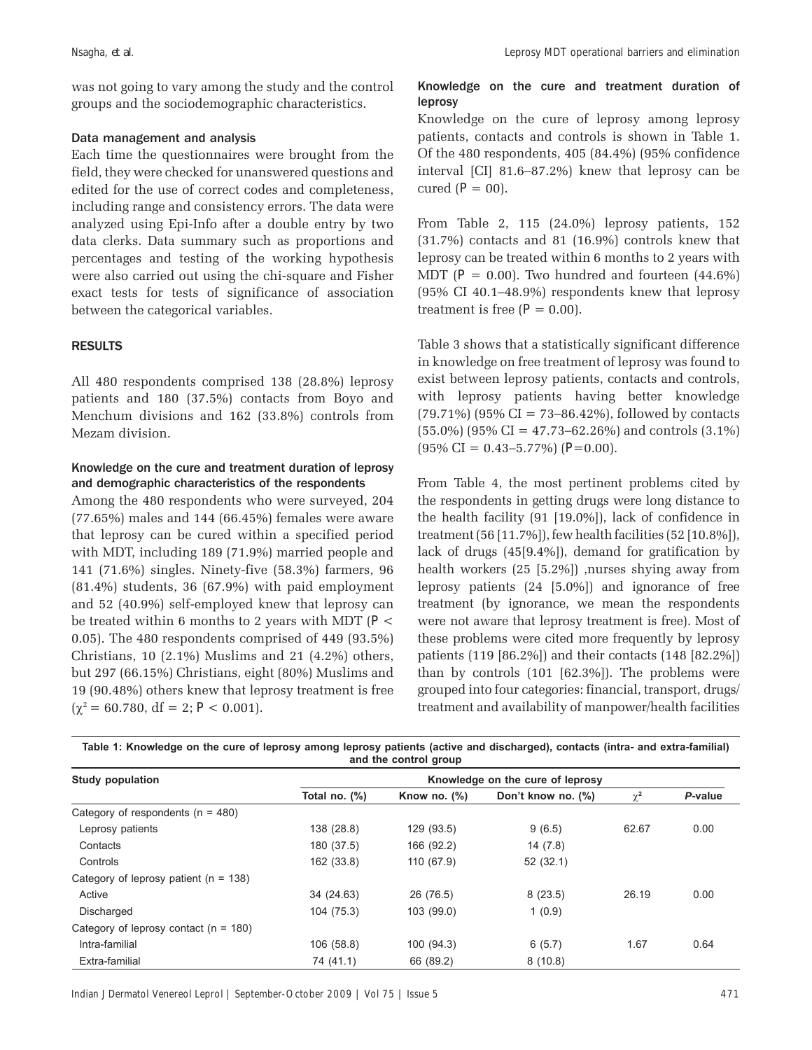was not going to vary among the study and the control groups and the sociodemographic characteristics.

#### Data management and analysis

Each time the questionnaires were brought from the field, they were checked for unanswered questions and edited for the use of correct codes and completeness, including range and consistency errors. The data were analyzed using Epi-Info after a double entry by two data clerks. Data summary such as proportions and percentages and testing of the working hypothesis were also carried out using the chi-square and Fisher exact tests for tests of significance of association between the categorical variables.

### RESULTS

All 480 respondents comprised 138 (28.8%) leprosy patients and 180 (37.5%) contacts from Boyo and Menchum divisions and 162 (33.8%) controls from Mezam division.

### Knowledge on the cure and treatment duration of leprosy and demographic characteristics of the respondents

Among the 480 respondents who were surveyed, 204 (77.65%) males and 144 (66.45%) females were aware that leprosy can be cured within a specified period with MDT, including 189 (71.9%) married people and 141 (71.6%) singles. Ninety-five (58.3%) farmers, 96 (81.4%) students, 36 (67.9%) with paid employment and 52 (40.9%) self-employed knew that leprosy can be treated within 6 months to 2 years with MDT ( $P$  < 0.05). The 480 respondents comprised of 449 (93.5%) Christians,  $10$   $(2.1\%)$  Muslims and  $21$   $(4.2\%)$  others, but 297 (66.15%) Christians, eight (80%) Muslims and 19 (90.48%) others knew that leprosy treatment is free  $(\chi^2 = 60.780, df = 2; P < 0.001).$ 

# Knowledge on the cure and treatment duration of leprosy

Knowledge on the cure of leprosy among leprosy patients, contacts and controls is shown in Table 1. Of the 480 respondents, 405 (84.4%) (95% confidence interval  $|CI|$  81.6–87.2%) knew that leprosy can be cured  $(P = 00)$ .

From Table 2, 115 (24.0%) leprosy patients, 152 (31.7%) contacts and 81 (16.9%) controls knew that leprosy can be treated within 6 months to 2 years with MDT ( $P = 0.00$ ). Two hundred and fourteen (44.6%)  $(95\% \text{ CI } 40.1-48.9\%)$  respondents knew that leprosy treatment is free  $(P = 0.00)$ .

Table 3 shows that a statistically significant difference in knowledge on free treatment of leprosy was found to exist between leprosy patients, contacts and controls, with leprosy patients having better knowledge  $(79.71\%)$   $(95\% \text{ CI} = 73-86.42\%)$ , followed by contacts  $(55.0\%)$  (95% CI = 47.73-62.26%) and controls (3.1%)  $(95\% \text{ CI} = 0.43 - 5.77\%)$  (*P*=0.00).

From Table 4, the most pertinent problems cited by the respondents in getting drugs were long distance to the health facility (91 [19.0%]), lack of confidence in treatment (56 [11.7%]), few health facilities (52 [10.8%]), lack of drugs (45[9.4%]), demand for gratification by health workers (25 [5.2%]) ,nurses shying away from leprosy patients (24 [5.0%]) and ignorance of free treatment (by ignorance, we mean the respondents were not aware that leprosy treatment is free). Most of these problems were cited more frequently by leprosy patients (119 [86.2%]) and their contacts (148 [82.2%]) than by controls (101 [62.3%]). The problems were grouped into four categories: financial, transport, drugs/ treatment and availability of manpower/health facilities

|                       |  |  |  |  | Table 1: Knowledge on the cure of leprosy among leprosy patients (active and discharged), contacts (intra- and extra-familial) |  |  |
|-----------------------|--|--|--|--|--------------------------------------------------------------------------------------------------------------------------------|--|--|
| and the control group |  |  |  |  |                                                                                                                                |  |  |

| <b>Study population</b>                   | Knowledge on the cure of leprosy |                 |                    |          |         |  |  |
|-------------------------------------------|----------------------------------|-----------------|--------------------|----------|---------|--|--|
|                                           | Total no. (%)                    | Know no. $(\%)$ | Don't know no. (%) | $\chi^2$ | P-value |  |  |
| Category of respondents ( $n = 480$ )     |                                  |                 |                    |          |         |  |  |
| Leprosy patients                          | 138 (28.8)                       | 129 (93.5)      | 9(6.5)             | 62.67    | 0.00    |  |  |
| Contacts                                  | 180 (37.5)                       | 166 (92.2)      | 14(7.8)            |          |         |  |  |
| Controls                                  | 162 (33.8)                       | 110 (67.9)      | 52(32.1)           |          |         |  |  |
| Category of leprosy patient ( $n = 138$ ) |                                  |                 |                    |          |         |  |  |
| Active                                    | 34 (24.63)                       | 26 (76.5)       | 8(23.5)            | 26.19    | 0.00    |  |  |
| Discharged                                | 104 (75.3)                       | 103 (99.0)      | 1(0.9)             |          |         |  |  |
| Category of leprosy contact ( $n = 180$ ) |                                  |                 |                    |          |         |  |  |
| Intra-familial                            | 106 (58.8)                       | 100 (94.3)      | 6(5.7)             | 1.67     | 0.64    |  |  |
| Extra-familial                            | 74 (41.1)                        | 66 (89.2)       | 8(10.8)            |          |         |  |  |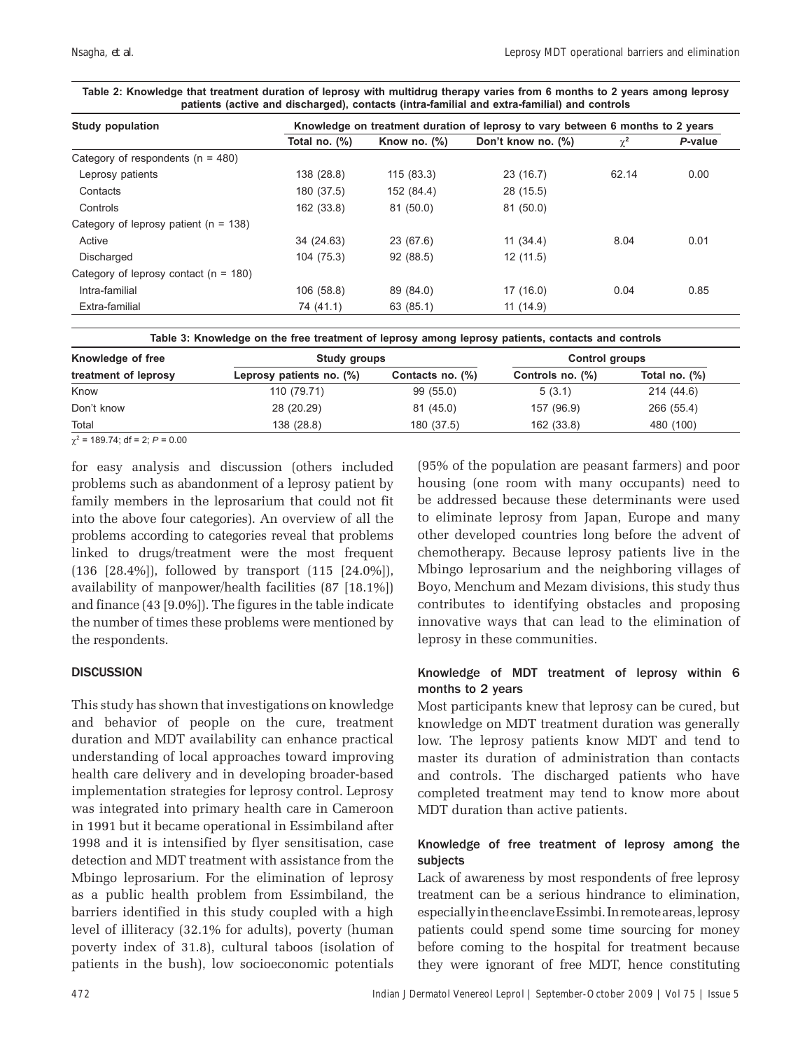| Table 2: Knowledge that treatment duration of leprosy with multidrug therapy varies from 6 months to 2 years among leprosy |
|----------------------------------------------------------------------------------------------------------------------------|
| patients (active and discharged), contacts (intra-familial and extra-familial) and controls                                |

| Study population                          | Knowledge on treatment duration of leprosy to vary between 6 months to 2 years |                 |                    |          |         |  |  |
|-------------------------------------------|--------------------------------------------------------------------------------|-----------------|--------------------|----------|---------|--|--|
|                                           | Total no. (%)                                                                  | Know no. $(\%)$ | Don't know no. (%) | $\chi^2$ | P-value |  |  |
| Category of respondents ( $n = 480$ )     |                                                                                |                 |                    |          |         |  |  |
| Leprosy patients                          | 138 (28.8)                                                                     | 115(83.3)       | 23 (16.7)          | 62.14    | 0.00    |  |  |
| Contacts                                  | 180 (37.5)                                                                     | 152 (84.4)      | 28 (15.5)          |          |         |  |  |
| Controls                                  | 162 (33.8)                                                                     | 81 (50.0)       | 81 (50.0)          |          |         |  |  |
| Category of leprosy patient ( $n = 138$ ) |                                                                                |                 |                    |          |         |  |  |
| Active                                    | 34 (24.63)                                                                     | 23 (67.6)       | 11(34.4)           | 8.04     | 0.01    |  |  |
| Discharged                                | 104 (75.3)                                                                     | 92(88.5)        | 12(11.5)           |          |         |  |  |
| Category of leprosy contact ( $n = 180$ ) |                                                                                |                 |                    |          |         |  |  |
| Intra-familial                            | 106 (58.8)                                                                     | 89 (84.0)       | 17 (16.0)          | 0.04     | 0.85    |  |  |
| Extra-familial                            | 74 (41.1)                                                                      | 63 (85.1)       | 11(14.9)           |          |         |  |  |

| Table 3: Knowledge on the free treatment of leprosy among leprosy patients, contacts and controls |                          |                  |                       |                  |  |  |
|---------------------------------------------------------------------------------------------------|--------------------------|------------------|-----------------------|------------------|--|--|
| Knowledge of free                                                                                 | Study groups             |                  | <b>Control groups</b> |                  |  |  |
| treatment of leprosy                                                                              | Leprosy patients no. (%) | Contacts no. (%) | Controls no. (%)      | Total no. $(\%)$ |  |  |
| Know                                                                                              | 110 (79.71)              | 99 (55.0)        | 5(3.1)                | 214 (44.6)       |  |  |
| Don't know                                                                                        | 28 (20.29)               | 81 (45.0)        | 157 (96.9)            | 266 (55.4)       |  |  |
| Total                                                                                             | 138 (28.8)               | 180 (37.5)       | 162 (33.8)            | 480 (100)        |  |  |

χ2 = 189.74; df = 2; *P* = 0.00

for easy analysis and discussion (others included problems such as abandonment of a leprosy patient by family members in the leprosarium that could not fit into the above four categories). An overview of all the problems according to categories reveal that problems linked to drugs/treatment were the most frequent (136 [28.4%]), followed by transport (115 [24.0%]), availability of manpower/health facilities (87 [18.1%]) and finance (43 [9.0%]). The figures in the table indicate the number of times these problems were mentioned by the respondents.

### **DISCUSSION**

This study has shown that investigations on knowledge and behavior of people on the cure, treatment duration and MDT availability can enhance practical understanding of local approaches toward improving health care delivery and in developing broader-based implementation strategies for leprosy control. Leprosy was integrated into primary health care in Cameroon in 1991 but it became operational in Essimbiland after 1998 and it is intensified by flyer sensitisation, case detection and MDT treatment with assistance from the Mbingo leprosarium. For the elimination of leprosy as a public health problem from Essimbiland, the barriers identified in this study coupled with a high level of illiteracy (32.1% for adults), poverty (human poverty index of 31.8), cultural taboos (isolation of patients in the bush), low socioeconomic potentials

(95% of the population are peasant farmers) and poor housing (one room with many occupants) need to be addressed because these determinants were used to eliminate leprosy from Japan, Europe and many other developed countries long before the advent of chemotherapy. Because leprosy patients live in the Mbingo leprosarium and the neighboring villages of Boyo, Menchum and Mezam divisions, this study thus contributes to identifying obstacles and proposing innovative ways that can lead to the elimination of leprosy in these communities.

# Knowledge of MDT treatment of leprosy within 6 months to 2 years

Most participants knew that leprosy can be cured, but knowledge on MDT treatment duration was generally low. The leprosy patients know MDT and tend to master its duration of administration than contacts and controls. The discharged patients who have completed treatment may tend to know more about MDT duration than active patients.

# Knowledge of free treatment of leprosy among the subjects

Lack of awareness by most respondents of free leprosy treatment can be a serious hindrance to elimination, especially in the enclave Essimbi. In remote areas, leprosy patients could spend some time sourcing for money before coming to the hospital for treatment because they were ignorant of free MDT, hence constituting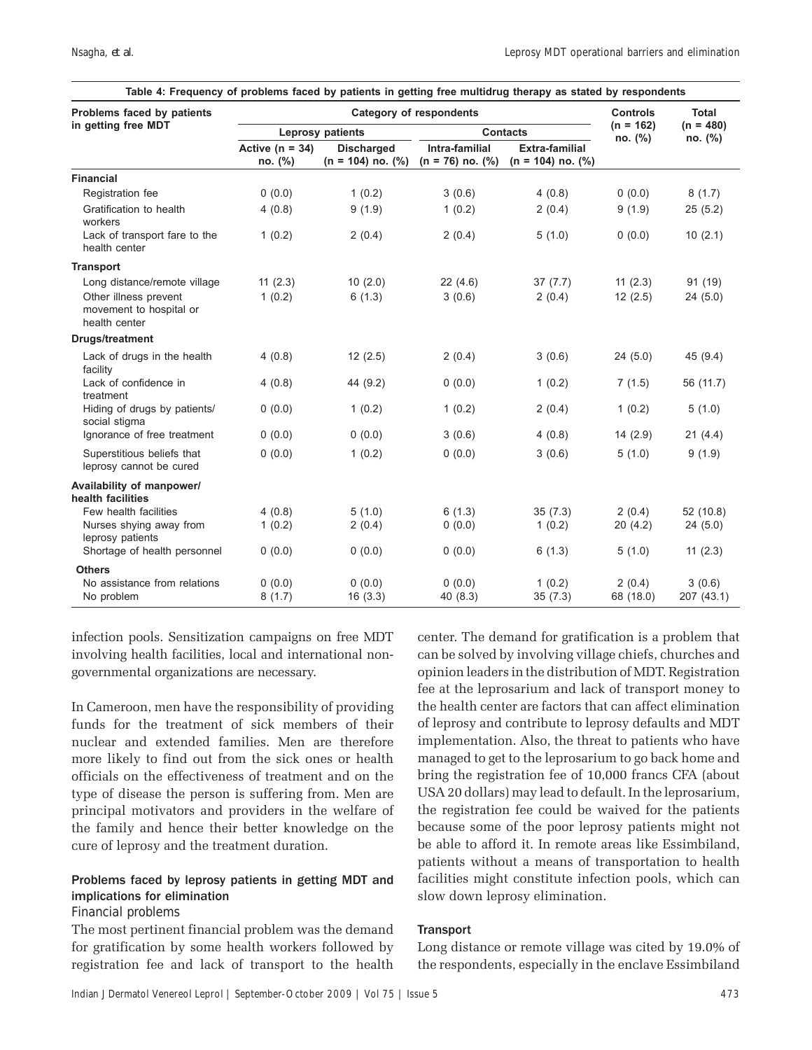| Problems faced by patients                                        | <b>Category of respondents</b> |                                             |                                         |                                                 |                        | Total                  |
|-------------------------------------------------------------------|--------------------------------|---------------------------------------------|-----------------------------------------|-------------------------------------------------|------------------------|------------------------|
| in getting free MDT                                               | Leprosy patients               |                                             |                                         | <b>Contacts</b>                                 | $(n = 162)$<br>no. (%) | $(n = 480)$<br>no. (%) |
|                                                                   | Active $(n = 34)$<br>no. (%)   | <b>Discharged</b><br>$(n = 104)$ no. $(\%)$ | Intra-familial<br>$(n = 76)$ no. $(\%)$ | <b>Extra-familial</b><br>$(n = 104)$ no. $(\%)$ |                        |                        |
| <b>Financial</b>                                                  |                                |                                             |                                         |                                                 |                        |                        |
| Registration fee                                                  | 0(0.0)                         | 1(0.2)                                      | 3(0.6)                                  | 4(0.8)                                          | 0(0.0)                 | 8(1.7)                 |
| Gratification to health<br>workers                                | 4(0.8)                         | 9(1.9)                                      | 1(0.2)                                  | 2(0.4)                                          | 9(1.9)                 | 25(5.2)                |
| Lack of transport fare to the<br>health center                    | 1(0.2)                         | 2(0.4)                                      | 2(0.4)                                  | 5(1.0)                                          | 0(0.0)                 | 10(2.1)                |
| <b>Transport</b>                                                  |                                |                                             |                                         |                                                 |                        |                        |
| Long distance/remote village                                      | 11(2.3)                        | 10(2.0)                                     | 22 (4.6)                                | 37(7.7)                                         | 11(2.3)                | 91 (19)                |
| Other illness prevent<br>movement to hospital or<br>health center | 1(0.2)                         | 6(1.3)                                      | 3(0.6)                                  | 2(0.4)                                          | 12(2.5)                | 24(5.0)                |
| Drugs/treatment                                                   |                                |                                             |                                         |                                                 |                        |                        |
| Lack of drugs in the health<br>facility                           | 4(0.8)                         | 12(2.5)                                     | 2(0.4)                                  | 3(0.6)                                          | 24(5.0)                | 45 (9.4)               |
| Lack of confidence in<br>treatment                                | 4(0.8)                         | 44 (9.2)                                    | 0(0.0)                                  | 1(0.2)                                          | 7(1.5)                 | 56 (11.7)              |
| Hiding of drugs by patients/<br>social stigma                     | 0(0.0)                         | 1(0.2)                                      | 1(0.2)                                  | 2(0.4)                                          | 1(0.2)                 | 5(1.0)                 |
| Ignorance of free treatment                                       | 0(0.0)                         | 0(0.0)                                      | 3(0.6)                                  | 4(0.8)                                          | 14 (2.9)               | 21(4.4)                |
| Superstitious beliefs that<br>leprosy cannot be cured             | 0(0.0)                         | 1(0.2)                                      | 0(0.0)                                  | 3(0.6)                                          | 5(1.0)                 | 9(1.9)                 |
| Availability of manpower/<br>health facilities                    |                                |                                             |                                         |                                                 |                        |                        |
| Few health facilities                                             | 4(0.8)                         | 5(1.0)                                      | 6(1.3)                                  | 35(7.3)                                         | 2(0.4)                 | 52 (10.8)              |
| Nurses shying away from<br>leprosy patients                       | 1(0.2)                         | 2(0.4)                                      | 0(0.0)                                  | 1(0.2)                                          | 20(4.2)                | 24(5.0)                |
| Shortage of health personnel                                      | 0(0.0)                         | 0(0.0)                                      | 0(0.0)                                  | 6(1.3)                                          | 5(1.0)                 | 11(2.3)                |
| <b>Others</b>                                                     |                                |                                             |                                         |                                                 |                        |                        |
| No assistance from relations<br>No problem                        | 0(0.0)<br>8(1.7)               | 0(0.0)<br>16(3.3)                           | 0(0.0)<br>40 (8.3)                      | 1(0.2)<br>35(7.3)                               | 2(0.4)<br>68 (18.0)    | 3(0.6)<br>207 (43.1)   |

|  |  |  |  |  |  | Table 4: Frequency of problems faced by patients in getting free multidrug therapy as stated by respondents |
|--|--|--|--|--|--|-------------------------------------------------------------------------------------------------------------|
|--|--|--|--|--|--|-------------------------------------------------------------------------------------------------------------|

infection pools. Sensitization campaigns on free MDT involving health facilities, local and international nongovernmental organizations are necessary.

In Cameroon, men have the responsibility of providing funds for the treatment of sick members of their nuclear and extended families. Men are therefore more likely to find out from the sick ones or health officials on the effectiveness of treatment and on the type of disease the person is suffering from. Men are principal motivators and providers in the welfare of the family and hence their better knowledge on the cure of leprosy and the treatment duration.

# Problems faced by leprosy patients in getting MDT and implications for elimination

# *Financial problems*

The most pertinent financial problem was the demand for gratification by some health workers followed by registration fee and lack of transport to the health center. The demand for gratification is a problem that can be solved by involving village chiefs, churches and opinion leaders in the distribution of MDT. Registration fee at the leprosarium and lack of transport money to the health center are factors that can affect elimination of leprosy and contribute to leprosy defaults and MDT implementation. Also, the threat to patients who have managed to get to the leprosarium to go back home and bring the registration fee of 10,000 francs CFA (about USA 20 dollars) may lead to default. In the leprosarium, the registration fee could be waived for the patients because some of the poor leprosy patients might not be able to afford it. In remote areas like Essimbiland, patients without a means of transportation to health facilities might constitute infection pools, which can slow down leprosy elimination.

#### **Transport**

Long distance or remote village was cited by 19.0% of the respondents, especially in the enclave Essimbiland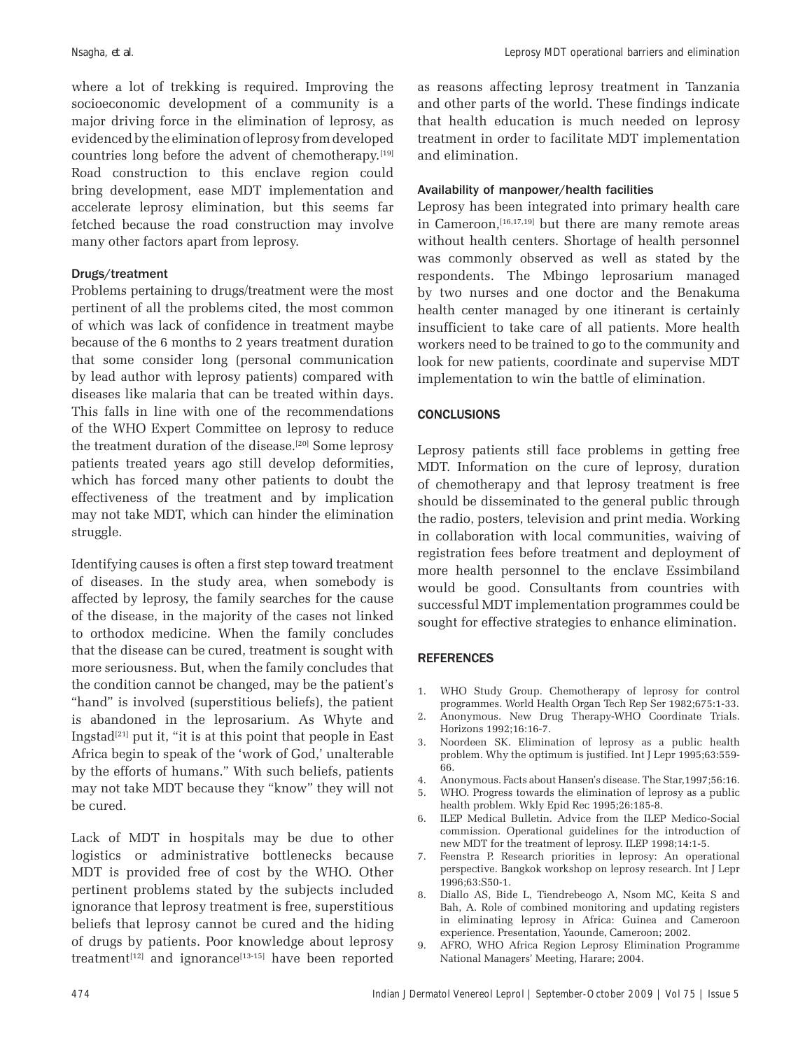where a lot of trekking is required. Improving the socioeconomic development of a community is a major driving force in the elimination of leprosy, as evidenced by the elimination of leprosy from developed countries long before the advent of chemotherapy.<sup>[19]</sup> Road construction to this enclave region could bring development, ease MDT implementation and accelerate leprosy elimination, but this seems far fetched because the road construction may involve many other factors apart from leprosy.

# Drugs/treatment

Problems pertaining to drugs/treatment were the most pertinent of all the problems cited, the most common of which was lack of confidence in treatment maybe because of the 6 months to 2 years treatment duration that some consider long (personal communication by lead author with leprosy patients) compared with diseases like malaria that can be treated within days. This falls in line with one of the recommendations of the WHO Expert Committee on leprosy to reduce the treatment duration of the disease.[20] Some leprosy patients treated years ago still develop deformities, which has forced many other patients to doubt the effectiveness of the treatment and by implication may not take MDT, which can hinder the elimination struggle.

Identifying causes is often a first step toward treatment of diseases. In the study area, when somebody is affected by leprosy, the family searches for the cause of the disease, in the majority of the cases not linked to orthodox medicine. When the family concludes that the disease can be cured, treatment is sought with more seriousness. But, when the family concludes that the condition cannot be changed, may be the patient's "hand" is involved (superstitious beliefs), the patient is abandoned in the leprosarium. As Whyte and Ingstad $[21]$  put it, "it is at this point that people in East Africa begin to speak of the 'work of God,' unalterable by the efforts of humans." With such beliefs, patients may not take MDT because they "know" they will not be cured.

Lack of MDT in hospitals may be due to other logistics or administrative bottlenecks because MDT is provided free of cost by the WHO. Other pertinent problems stated by the subjects included ignorance that leprosy treatment is free, superstitious beliefs that leprosy cannot be cured and the hiding of drugs by patients. Poor knowledge about leprosy treatment $[12]$  and ignorance $[13-15]$  have been reported as reasons affecting leprosy treatment in Tanzania and other parts of the world. These findings indicate that health education is much needed on leprosy treatment in order to facilitate MDT implementation and elimination.

# Availability of manpower/health facilities

Leprosy has been integrated into primary health care in Cameroon,[16,17,19] but there are many remote areas without health centers. Shortage of health personnel was commonly observed as well as stated by the respondents. The Mbingo leprosarium managed by two nurses and one doctor and the Benakuma health center managed by one itinerant is certainly insufficient to take care of all patients. More health workers need to be trained to go to the community and look for new patients, coordinate and supervise MDT implementation to win the battle of elimination.

# **CONCLUSIONS**

Leprosy patients still face problems in getting free MDT. Information on the cure of leprosy, duration of chemotherapy and that leprosy treatment is free should be disseminated to the general public through the radio, posters, television and print media. Working in collaboration with local communities, waiving of registration fees before treatment and deployment of more health personnel to the enclave Essimbiland would be good. Consultants from countries with successful MDT implementation programmes could be sought for effective strategies to enhance elimination.

### **REFERENCES**

- 1. WHO Study Group. Chemotherapy of leprosy for control programmes. World Health Organ Tech Rep Ser 1982;675:1-33.
- 2. Anonymous. New Drug Therapy-WHO Coordinate Trials. Horizons 1992;16:16-7.
- 3. Noordeen SK. Elimination of leprosy as a public health problem. Why the optimum is justified. Int J Lepr 1995;63:559- 66.
- 4. Anonymous. Facts about Hansenís disease. The Star,1997;56:16.
- 5. WHO. Progress towards the elimination of leprosy as a public health problem. Wkly Epid Rec 1995;26:185-8.
- 6. ILEP Medical Bulletin. Advice from the ILEP Medico-Social commission. Operational guidelines for the introduction of new MDT for the treatment of leprosy. ILEP 1998;14:1-5.
- 7. Feenstra P. Research priorities in leprosy: An operational perspective. Bangkok workshop on leprosy research. Int J Lepr 1996;63:S50-1.
- 8. Diallo AS, Bide L, Tiendrebeogo A, Nsom MC, Keita S and Bah, A. Role of combined monitoring and updating registers in eliminating leprosy in Africa: Guinea and Cameroon experience. Presentation, Yaounde, Cameroon; 2002.
- 9. AFRO, WHO Africa Region Leprosy Elimination Programme National Managers' Meeting, Harare; 2004.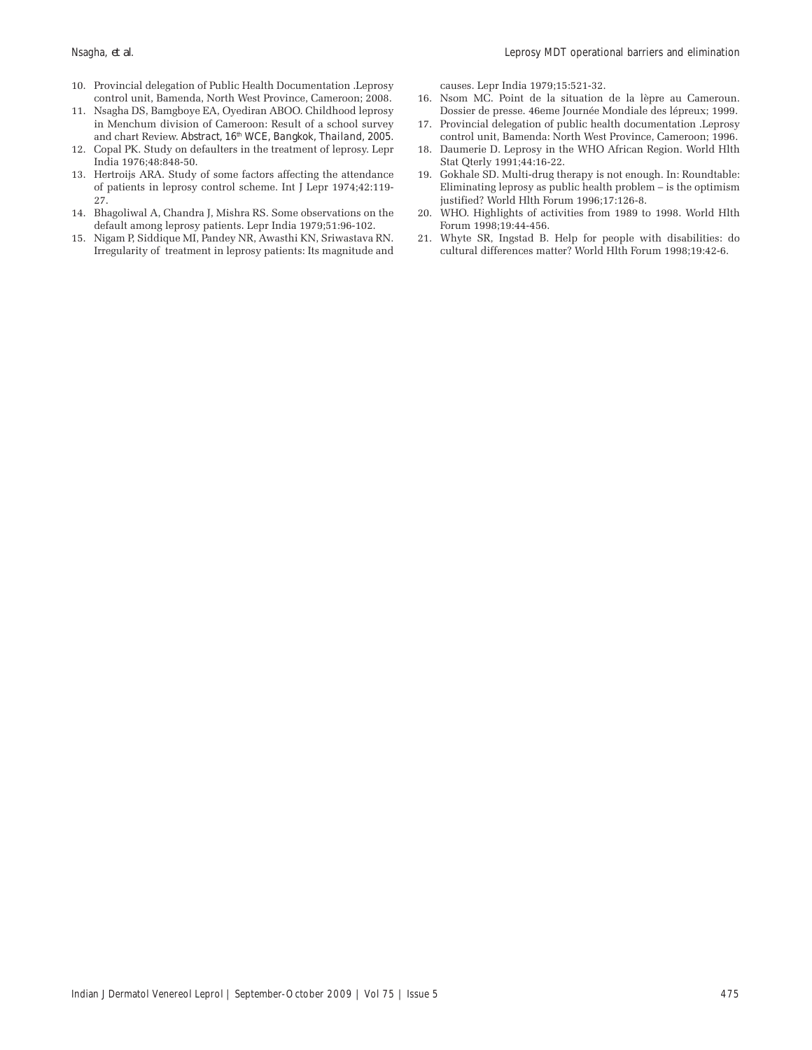- 10. Provincial delegation of Public Health Documentation .Leprosy control unit, Bamenda, North West Province, Cameroon; 2008.
- 11. Nsagha DS, Bamgboye EA, Oyediran ABOO. Childhood leprosy in Menchum division of Cameroon: Result of a school survey and chart Review. *Abstract, 16<sup>th</sup> WCE, Bangkok, Thailand, 2005.*
- 12. Copal PK. Study on defaulters in the treatment of leprosy. Lepr India 1976;48:848-50.
- 13. Hertroijs ARA. Study of some factors affecting the attendance of patients in leprosy control scheme. Int J Lepr 1974;42:119- 27.
- 14. Bhagoliwal A, Chandra J, Mishra RS. Some observations on the default among leprosy patients*.* Lepr India 1979;51:96-102.
- 15. Nigam P, Siddique MI, Pandey NR, Awasthi KN, Sriwastava RN. Irregularity of treatment in leprosy patients: Its magnitude and

causes. Lepr India 1979;15:521-32.

- 16. Nsom MC. Point de la situation de la lèpre au Cameroun. Dossier de presse. 46eme Journée Mondiale des lépreux; 1999.
- 17. Provincial delegation of public health documentation .Leprosy control unit, Bamenda: North West Province, Cameroon; 1996.
- 18. Daumerie D. Leprosy in the WHO African Region. World Hlth Stat Qterly 1991;44:16-22.
- 19. Gokhale SD. Multi-drug therapy is not enough. In: Roundtable: Eliminating leprosy as public health problem  $-$  is the optimism justified? World Hlth Forum 1996;17:126-8.
- 20. WHO. Highlights of activities from 1989 to 1998. World Hlth Forum 1998;19:44-456.
- 21. Whyte SR, Ingstad B. Help for people with disabilities: do cultural differences matter? World Hlth Forum 1998;19:42-6.